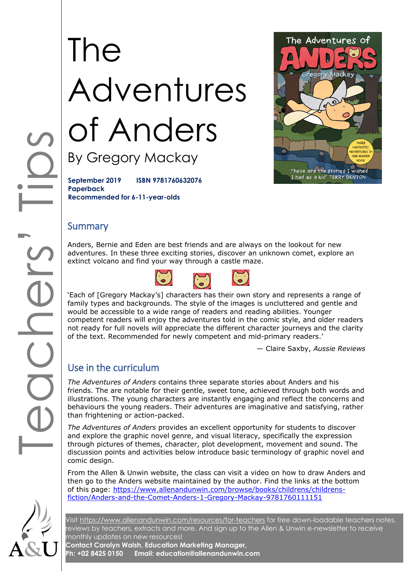# The Adventures of Anders By Gregory Mackay



**September 2019 ISBN 9781760632076 Paperback Recommended for 6-11-year-olds**

#### **Summary**

Anders, Bernie and Eden are best friends and are always on the lookout for new adventures. In these three exciting stories, discover an unknown comet, explore an extinct volcano and find your way through a castle maze.



'Each of [Gregory Mackay's] characters has their own story and represents a range of family types and backgrounds. The style of the images is uncluttered and gentle and would be accessible to a wide range of readers and reading abilities. Younger competent readers will enjoy the adventures told in the comic style, and older readers not ready for full novels will appreciate the different character journeys and the clarity of the text. Recommended for newly competent and mid-primary readers.'

— Claire Saxby, *Aussie Reviews*

### Use in the curriculum

*The Adventures of Anders* contains three separate stories about Anders and his friends. The are notable for their gentle, sweet tone, achieved through both words and illustrations. The young characters are instantly engaging and reflect the concerns and behaviours the young readers. Their adventures are imaginative and satisfying, rather than frightening or action-packed.

*The Adventures of Anders* provides an excellent opportunity for students to discover and explore the graphic novel genre, and visual literacy, specifically the expression through pictures of themes, character, plot development, movement and sound. The discussion points and activities below introduce basic terminology of graphic novel and comic design.

From the Allen & Unwin website, the class can visit a video on how to draw Anders and then go to the Anders website maintained by the author. Find the links at the bottom of this page: [https://www.allenandunwin.com/browse/books/childrens/childrens](https://www.allenandunwin.com/browse/books/childrens/childrens-fiction/Anders-and-the-Comet-Anders-1-Gregory-Mackay-9781760111151)[fiction/Anders-and-the-Comet-Anders-1-Gregory-Mackay-9781760111151](https://www.allenandunwin.com/browse/books/childrens/childrens-fiction/Anders-and-the-Comet-Anders-1-Gregory-Mackay-9781760111151)

Visit<https://www.allenandunwin.com/resources/for-teachers> for free down-loadable teachers notes, reviews by teachers, extracts and more. And sign up to the Allen & Unwin e-newsletter to receive monthly updates on new resources!

**Contact Carolyn Walsh, Education Marketing Manager, Ph: +02 8425 0150 Email: education@allenandunwin.com**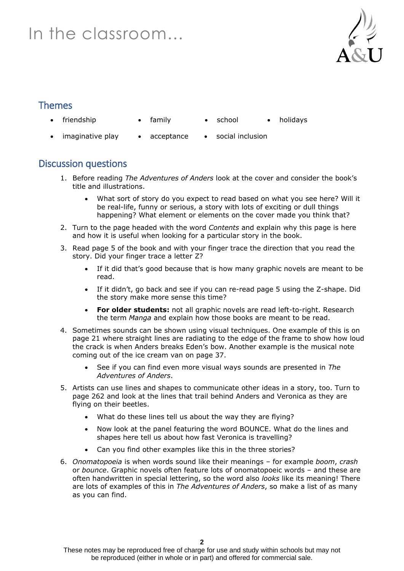# In the classroom…



#### Themes

- friendship family school holidays
- 
- 
- 
- 
- imaginative play acceptance social inclusion

#### Discussion questions

- 1. Before reading *The Adventures of Anders* look at the cover and consider the book's title and illustrations.
	- What sort of story do you expect to read based on what you see here? Will it be real-life, funny or serious, a story with lots of exciting or dull things happening? What element or elements on the cover made you think that?
- 2. Turn to the page headed with the word *Contents* and explain why this page is here and how it is useful when looking for a particular story in the book.
- 3. Read page 5 of the book and with your finger trace the direction that you read the story. Did your finger trace a letter Z?
	- If it did that's good because that is how many graphic novels are meant to be read.
	- If it didn't, go back and see if you can re-read page 5 using the Z-shape. Did the story make more sense this time?
	- **For older students:** not all graphic novels are read left-to-right. Research the term *Manga* and explain how those books are meant to be read.
- 4. Sometimes sounds can be shown using visual techniques. One example of this is on page 21 where straight lines are radiating to the edge of the frame to show how loud the crack is when Anders breaks Eden's bow. Another example is the musical note coming out of the ice cream van on page 37.
	- See if you can find even more visual ways sounds are presented in *The Adventures of Anders*.
- 5. Artists can use lines and shapes to communicate other ideas in a story, too. Turn to page 262 and look at the lines that trail behind Anders and Veronica as they are flying on their beetles.
	- What do these lines tell us about the way they are flying?
	- Now look at the panel featuring the word BOUNCE. What do the lines and shapes here tell us about how fast Veronica is travelling?
	- Can you find other examples like this in the three stories?
- 6. *Onomatopoeia* is when words sound like their meanings for example *boom*, *crash* or *bounce*. Graphic novels often feature lots of onomatopoeic words – and these are often handwritten in special lettering, so the word also *looks* like its meaning! There are lots of examples of this in *The Adventures of Anders*, so make a list of as many as you can find.

These notes may be reproduced free of charge for use and study within schools but may not be reproduced (either in whole or in part) and offered for commercial sale.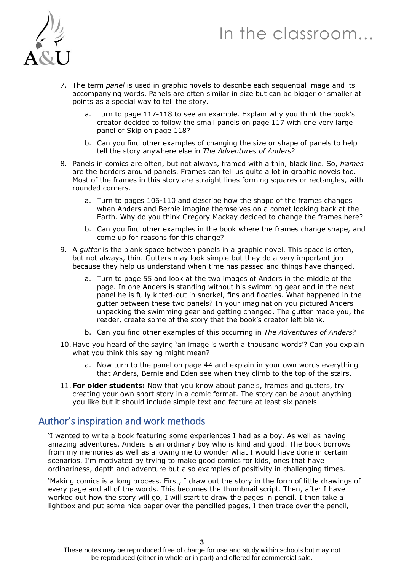# In the classroom…



- 7. The term *panel* is used in graphic novels to describe each sequential image and its accompanying words. Panels are often similar in size but can be bigger or smaller at points as a special way to tell the story.
	- a. Turn to page 117-118 to see an example. Explain why you think the book's creator decided to follow the small panels on page 117 with one very large panel of Skip on page 118?
	- b. Can you find other examples of changing the size or shape of panels to help tell the story anywhere else in *The Adventures of Anders*?
- 8. Panels in comics are often, but not always, framed with a thin, black line. So, *frames* are the borders around panels. Frames can tell us quite a lot in graphic novels too. Most of the frames in this story are straight lines forming squares or rectangles, with rounded corners.
	- a. Turn to pages 106-110 and describe how the shape of the frames changes when Anders and Bernie imagine themselves on a comet looking back at the Earth. Why do you think Gregory Mackay decided to change the frames here?
	- b. Can you find other examples in the book where the frames change shape, and come up for reasons for this change?
- 9. A *gutter* is the blank space between panels in a graphic novel. This space is often, but not always, thin. Gutters may look simple but they do a very important job because they help us understand when time has passed and things have changed.
	- a. Turn to page 55 and look at the two images of Anders in the middle of the page. In one Anders is standing without his swimming gear and in the next panel he is fully kitted-out in snorkel, fins and floaties. What happened in the gutter between these two panels? In your imagination you pictured Anders unpacking the swimming gear and getting changed. The gutter made you, the reader, create some of the story that the book's creator left blank.
	- b. Can you find other examples of this occurring in *The Adventures of Anders*?
- 10. Have you heard of the saying 'an image is worth a thousand words'? Can you explain what you think this saying might mean?
	- a. Now turn to the panel on page 44 and explain in your own words everything that Anders, Bernie and Eden see when they climb to the top of the stairs.
- 11. **For older students:** Now that you know about panels, frames and gutters, try creating your own short story in a comic format. The story can be about anything you like but it should include simple text and feature at least six panels

#### Author's inspiration and work methods

'I wanted to write a book featuring some experiences I had as a boy. As well as having amazing adventures, Anders is an ordinary boy who is kind and good. The book borrows from my memories as well as allowing me to wonder what I would have done in certain scenarios. I'm motivated by trying to make good comics for kids, ones that have ordinariness, depth and adventure but also examples of positivity in challenging times.

'Making comics is a long process. First, I draw out the story in the form of little drawings of every page and all of the words. This becomes the thumbnail script. Then, after I have worked out how the story will go, I will start to draw the pages in pencil. I then take a lightbox and put some nice paper over the pencilled pages, I then trace over the pencil,

These notes may be reproduced free of charge for use and study within schools but may not be reproduced (either in whole or in part) and offered for commercial sale.